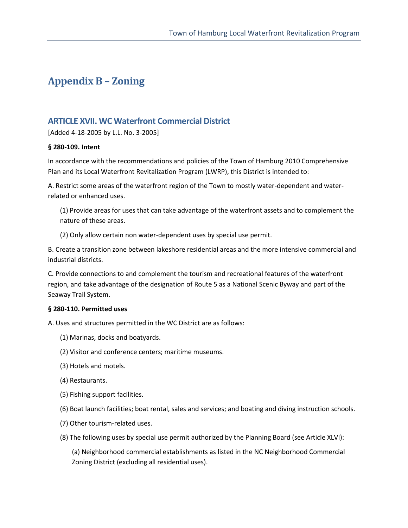# **Appendix B – Zoning**

# **ARTICLE XVII. WC Waterfront Commercial District**

[Added 4-18-2005 by L.L. No. 3-2005]

#### **§ 280-109. Intent**

In accordance with the recommendations and policies of the Town of Hamburg 2010 Comprehensive Plan and its Local Waterfront Revitalization Program (LWRP), this District is intended to:

A. Restrict some areas of the waterfront region of the Town to mostly water-dependent and waterrelated or enhanced uses.

(1) Provide areas for uses that can take advantage of the waterfront assets and to complement the nature of these areas.

(2) Only allow certain non water-dependent uses by special use permit.

B. Create a transition zone between lakeshore residential areas and the more intensive commercial and industrial districts.

C. Provide connections to and complement the tourism and recreational features of the waterfront region, and take advantage of the designation of Route 5 as a National Scenic Byway and part of the Seaway Trail System.

#### **§ 280-110. Permitted uses**

A. Uses and structures permitted in the WC District are as follows:

- (1) Marinas, docks and boatyards.
- (2) Visitor and conference centers; maritime museums.
- (3) Hotels and motels.
- (4) Restaurants.
- (5) Fishing support facilities.
- (6) Boat launch facilities; boat rental, sales and services; and boating and diving instruction schools.
- (7) Other tourism-related uses.
- (8) The following uses by special use permit authorized by the Planning Board (see Article XLVI):

(a) Neighborhood commercial establishments as listed in the NC Neighborhood Commercial Zoning District (excluding all residential uses).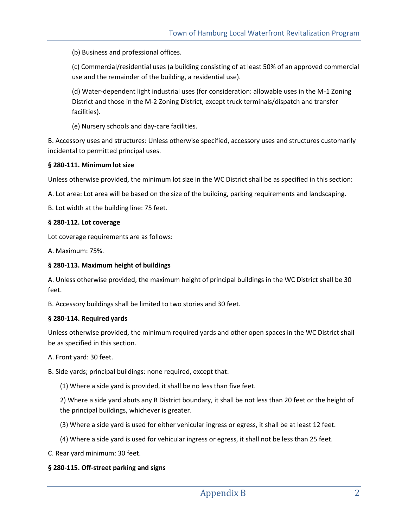(b) Business and professional offices.

(c) Commercial/residential uses (a building consisting of at least 50% of an approved commercial use and the remainder of the building, a residential use).

(d) Water-dependent light industrial uses (for consideration: allowable uses in the M-1 Zoning District and those in the M-2 Zoning District, except truck terminals/dispatch and transfer facilities).

(e) Nursery schools and day-care facilities.

B. Accessory uses and structures: Unless otherwise specified, accessory uses and structures customarily incidental to permitted principal uses.

#### **§ 280-111. Minimum lot size**

Unless otherwise provided, the minimum lot size in the WC District shall be as specified in this section:

A. Lot area: Lot area will be based on the size of the building, parking requirements and landscaping.

B. Lot width at the building line: 75 feet.

#### **§ 280-112. Lot coverage**

Lot coverage requirements are as follows:

A. Maximum: 75%.

#### **§ 280-113. Maximum height of buildings**

A. Unless otherwise provided, the maximum height of principal buildings in the WC District shall be 30 feet.

B. Accessory buildings shall be limited to two stories and 30 feet.

#### **§ 280-114. Required yards**

Unless otherwise provided, the minimum required yards and other open spaces in the WC District shall be as specified in this section.

A. Front yard: 30 feet.

B. Side yards; principal buildings: none required, except that:

(1) Where a side yard is provided, it shall be no less than five feet.

2) Where a side yard abuts any R District boundary, it shall be not less than 20 feet or the height of the principal buildings, whichever is greater.

- (3) Where a side yard is used for either vehicular ingress or egress, it shall be at least 12 feet.
- (4) Where a side yard is used for vehicular ingress or egress, it shall not be less than 25 feet.
- C. Rear yard minimum: 30 feet.

#### **§ 280-115. Off-street parking and signs**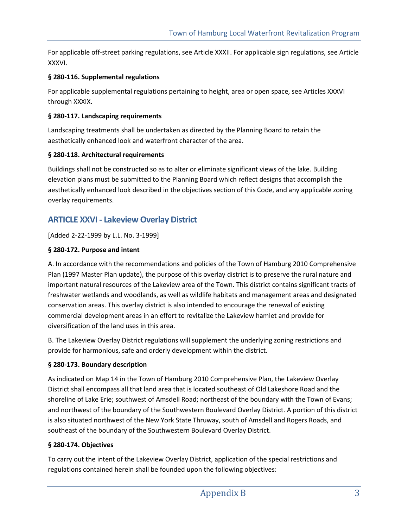For applicable off-street parking regulations, see Article XXXII. For applicable sign regulations, see Article XXXVI.

## **§ 280-116. Supplemental regulations**

For applicable supplemental regulations pertaining to height, area or open space, see Articles XXXVI through XXXIX.

## **§ 280-117. Landscaping requirements**

Landscaping treatments shall be undertaken as directed by the Planning Board to retain the aesthetically enhanced look and waterfront character of the area.

## **§ 280-118. Architectural requirements**

Buildings shall not be constructed so as to alter or eliminate significant views of the lake. Building elevation plans must be submitted to the Planning Board which reflect designs that accomplish the aesthetically enhanced look described in the objectives section of this Code, and any applicable zoning overlay requirements.

# **ARTICLE XXVI - Lakeview Overlay District**

[Added 2-22-1999 by L.L. No. 3-1999]

## **§ 280-172. Purpose and intent**

A. In accordance with the recommendations and policies of the Town of Hamburg 2010 Comprehensive Plan (1997 Master Plan update), the purpose of this overlay district is to preserve the rural nature and important natural resources of the Lakeview area of the Town. This district contains significant tracts of freshwater wetlands and woodlands, as well as wildlife habitats and management areas and designated conservation areas. This overlay district is also intended to encourage the renewal of existing commercial development areas in an effort to revitalize the Lakeview hamlet and provide for diversification of the land uses in this area.

B. The Lakeview Overlay District regulations will supplement the underlying zoning restrictions and provide for harmonious, safe and orderly development within the district.

## **§ 280-173. Boundary description**

As indicated on Map 14 in the Town of Hamburg 2010 Comprehensive Plan, the Lakeview Overlay District shall encompass all that land area that is located southeast of Old Lakeshore Road and the shoreline of Lake Erie; southwest of Amsdell Road; northeast of the boundary with the Town of Evans; and northwest of the boundary of the Southwestern Boulevard Overlay District. A portion of this district is also situated northwest of the New York State Thruway, south of Amsdell and Rogers Roads, and southeast of the boundary of the Southwestern Boulevard Overlay District.

#### **§ 280-174. Objectives**

To carry out the intent of the Lakeview Overlay District, application of the special restrictions and regulations contained herein shall be founded upon the following objectives: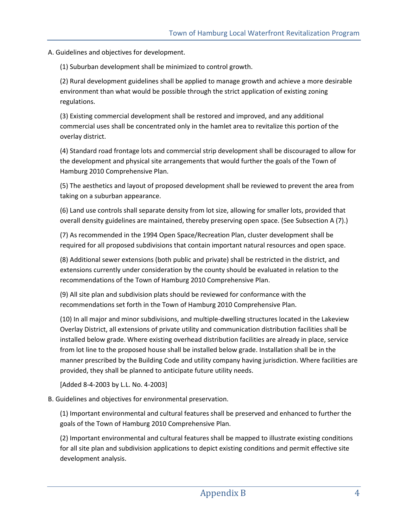A. Guidelines and objectives for development.

(1) Suburban development shall be minimized to control growth.

(2) Rural development guidelines shall be applied to manage growth and achieve a more desirable environment than what would be possible through the strict application of existing zoning regulations.

(3) Existing commercial development shall be restored and improved, and any additional commercial uses shall be concentrated only in the hamlet area to revitalize this portion of the overlay district.

(4) Standard road frontage lots and commercial strip development shall be discouraged to allow for the development and physical site arrangements that would further the goals of the Town of Hamburg 2010 Comprehensive Plan.

(5) The aesthetics and layout of proposed development shall be reviewed to prevent the area from taking on a suburban appearance.

(6) Land use controls shall separate density from lot size, allowing for smaller lots, provided that overall density guidelines are maintained, thereby preserving open space. (See Subsection A (7).)

(7) As recommended in the 1994 Open Space/Recreation Plan, cluster development shall be required for all proposed subdivisions that contain important natural resources and open space.

(8) Additional sewer extensions (both public and private) shall be restricted in the district, and extensions currently under consideration by the county should be evaluated in relation to the recommendations of the Town of Hamburg 2010 Comprehensive Plan.

(9) All site plan and subdivision plats should be reviewed for conformance with the recommendations set forth in the Town of Hamburg 2010 Comprehensive Plan.

(10) In all major and minor subdivisions, and multiple-dwelling structures located in the Lakeview Overlay District, all extensions of private utility and communication distribution facilities shall be installed below grade. Where existing overhead distribution facilities are already in place, service from lot line to the proposed house shall be installed below grade. Installation shall be in the manner prescribed by the Building Code and utility company having jurisdiction. Where facilities are provided, they shall be planned to anticipate future utility needs.

[Added 8-4-2003 by L.L. No. 4-2003]

B. Guidelines and objectives for environmental preservation.

(1) Important environmental and cultural features shall be preserved and enhanced to further the goals of the Town of Hamburg 2010 Comprehensive Plan.

(2) Important environmental and cultural features shall be mapped to illustrate existing conditions for all site plan and subdivision applications to depict existing conditions and permit effective site development analysis.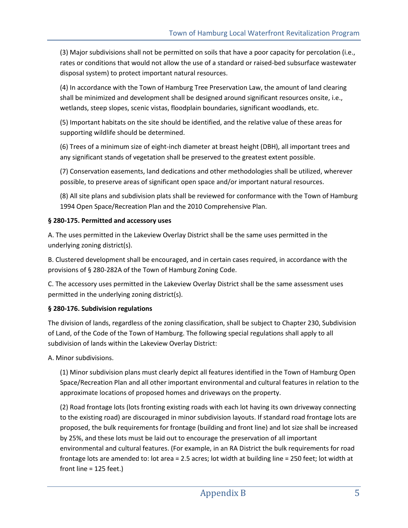(3) Major subdivisions shall not be permitted on soils that have a poor capacity for percolation (i.e., rates or conditions that would not allow the use of a standard or raised-bed subsurface wastewater disposal system) to protect important natural resources.

(4) In accordance with the Town of Hamburg Tree Preservation Law, the amount of land clearing shall be minimized and development shall be designed around significant resources onsite, i.e., wetlands, steep slopes, scenic vistas, floodplain boundaries, significant woodlands, etc.

(5) Important habitats on the site should be identified, and the relative value of these areas for supporting wildlife should be determined.

(6) Trees of a minimum size of eight-inch diameter at breast height (DBH), all important trees and any significant stands of vegetation shall be preserved to the greatest extent possible.

(7) Conservation easements, land dedications and other methodologies shall be utilized, wherever possible, to preserve areas of significant open space and/or important natural resources.

(8) All site plans and subdivision plats shall be reviewed for conformance with the Town of Hamburg 1994 Open Space/Recreation Plan and the 2010 Comprehensive Plan.

## **§ 280-175. Permitted and accessory uses**

A. The uses permitted in the Lakeview Overlay District shall be the same uses permitted in the underlying zoning district(s).

B. Clustered development shall be encouraged, and in certain cases required, in accordance with the provisions of § 280-282A of the Town of Hamburg Zoning Code.

C. The accessory uses permitted in the Lakeview Overlay District shall be the same assessment uses permitted in the underlying zoning district(s).

## **§ 280-176. Subdivision regulations**

The division of lands, regardless of the zoning classification, shall be subject to Chapter 230, Subdivision of Land, of the Code of the Town of Hamburg. The following special regulations shall apply to all subdivision of lands within the Lakeview Overlay District:

A. Minor subdivisions.

(1) Minor subdivision plans must clearly depict all features identified in the Town of Hamburg Open Space/Recreation Plan and all other important environmental and cultural features in relation to the approximate locations of proposed homes and driveways on the property.

(2) Road frontage lots (lots fronting existing roads with each lot having its own driveway connecting to the existing road) are discouraged in minor subdivision layouts. If standard road frontage lots are proposed, the bulk requirements for frontage (building and front line) and lot size shall be increased by 25%, and these lots must be laid out to encourage the preservation of all important environmental and cultural features. (For example, in an RA District the bulk requirements for road frontage lots are amended to: lot area = 2.5 acres; lot width at building line = 250 feet; lot width at front line = 125 feet.)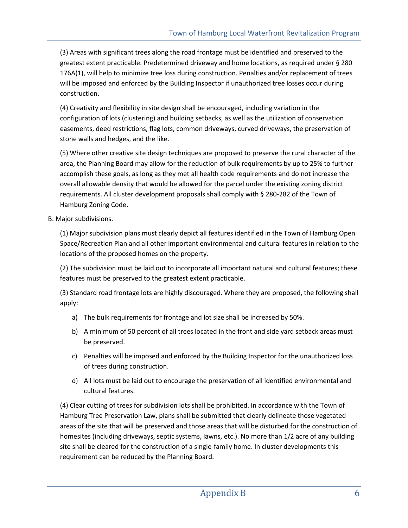(3) Areas with significant trees along the road frontage must be identified and preserved to the greatest extent practicable. Predetermined driveway and home locations, as required under § 280 176A(1), will help to minimize tree loss during construction. Penalties and/or replacement of trees will be imposed and enforced by the Building Inspector if unauthorized tree losses occur during construction.

(4) Creativity and flexibility in site design shall be encouraged, including variation in the configuration of lots (clustering) and building setbacks, as well as the utilization of conservation easements, deed restrictions, flag lots, common driveways, curved driveways, the preservation of stone walls and hedges, and the like.

(5) Where other creative site design techniques are proposed to preserve the rural character of the area, the Planning Board may allow for the reduction of bulk requirements by up to 25% to further accomplish these goals, as long as they met all health code requirements and do not increase the overall allowable density that would be allowed for the parcel under the existing zoning district requirements. All cluster development proposals shall comply with § 280-282 of the Town of Hamburg Zoning Code.

B. Major subdivisions.

(1) Major subdivision plans must clearly depict all features identified in the Town of Hamburg Open Space/Recreation Plan and all other important environmental and cultural features in relation to the locations of the proposed homes on the property.

(2) The subdivision must be laid out to incorporate all important natural and cultural features; these features must be preserved to the greatest extent practicable.

(3) Standard road frontage lots are highly discouraged. Where they are proposed, the following shall apply:

- a) The bulk requirements for frontage and lot size shall be increased by 50%.
- b) A minimum of 50 percent of all trees located in the front and side yard setback areas must be preserved.
- c) Penalties will be imposed and enforced by the Building Inspector for the unauthorized loss of trees during construction.
- d) All lots must be laid out to encourage the preservation of all identified environmental and cultural features.

(4) Clear cutting of trees for subdivision lots shall be prohibited. In accordance with the Town of Hamburg Tree Preservation Law, plans shall be submitted that clearly delineate those vegetated areas of the site that will be preserved and those areas that will be disturbed for the construction of homesites (including driveways, septic systems, lawns, etc.). No more than 1/2 acre of any building site shall be cleared for the construction of a single-family home. In cluster developments this requirement can be reduced by the Planning Board.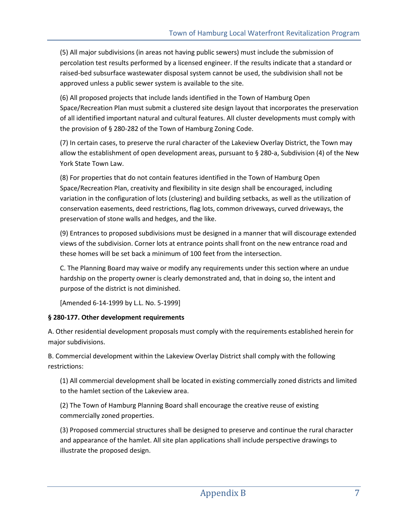(5) All major subdivisions (in areas not having public sewers) must include the submission of percolation test results performed by a licensed engineer. If the results indicate that a standard or raised-bed subsurface wastewater disposal system cannot be used, the subdivision shall not be approved unless a public sewer system is available to the site.

(6) All proposed projects that include lands identified in the Town of Hamburg Open Space/Recreation Plan must submit a clustered site design layout that incorporates the preservation of all identified important natural and cultural features. All cluster developments must comply with the provision of § 280-282 of the Town of Hamburg Zoning Code.

(7) In certain cases, to preserve the rural character of the Lakeview Overlay District, the Town may allow the establishment of open development areas, pursuant to § 280-a, Subdivision (4) of the New York State Town Law.

(8) For properties that do not contain features identified in the Town of Hamburg Open Space/Recreation Plan, creativity and flexibility in site design shall be encouraged, including variation in the configuration of lots (clustering) and building setbacks, as well as the utilization of conservation easements, deed restrictions, flag lots, common driveways, curved driveways, the preservation of stone walls and hedges, and the like.

(9) Entrances to proposed subdivisions must be designed in a manner that will discourage extended views of the subdivision. Corner lots at entrance points shall front on the new entrance road and these homes will be set back a minimum of 100 feet from the intersection.

C. The Planning Board may waive or modify any requirements under this section where an undue hardship on the property owner is clearly demonstrated and, that in doing so, the intent and purpose of the district is not diminished.

[Amended 6-14-1999 by L.L. No. 5-1999]

## **§ 280-177. Other development requirements**

A. Other residential development proposals must comply with the requirements established herein for major subdivisions.

B. Commercial development within the Lakeview Overlay District shall comply with the following restrictions:

(1) All commercial development shall be located in existing commercially zoned districts and limited to the hamlet section of the Lakeview area.

(2) The Town of Hamburg Planning Board shall encourage the creative reuse of existing commercially zoned properties.

(3) Proposed commercial structures shall be designed to preserve and continue the rural character and appearance of the hamlet. All site plan applications shall include perspective drawings to illustrate the proposed design.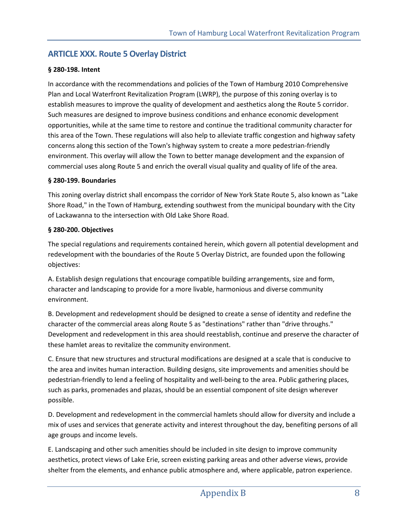# **ARTICLE XXX. Route 5 Overlay District**

## **§ 280-198. Intent**

In accordance with the recommendations and policies of the Town of Hamburg 2010 Comprehensive Plan and Local Waterfront Revitalization Program (LWRP), the purpose of this zoning overlay is to establish measures to improve the quality of development and aesthetics along the Route 5 corridor. Such measures are designed to improve business conditions and enhance economic development opportunities, while at the same time to restore and continue the traditional community character for this area of the Town. These regulations will also help to alleviate traffic congestion and highway safety concerns along this section of the Town's highway system to create a more pedestrian-friendly environment. This overlay will allow the Town to better manage development and the expansion of commercial uses along Route 5 and enrich the overall visual quality and quality of life of the area.

#### **§ 280-199. Boundaries**

This zoning overlay district shall encompass the corridor of New York State Route 5, also known as "Lake Shore Road," in the Town of Hamburg, extending southwest from the municipal boundary with the City of Lackawanna to the intersection with Old Lake Shore Road.

## **§ 280-200. Objectives**

The special regulations and requirements contained herein, which govern all potential development and redevelopment with the boundaries of the Route 5 Overlay District, are founded upon the following objectives:

A. Establish design regulations that encourage compatible building arrangements, size and form, character and landscaping to provide for a more livable, harmonious and diverse community environment.

B. Development and redevelopment should be designed to create a sense of identity and redefine the character of the commercial areas along Route 5 as "destinations" rather than "drive throughs." Development and redevelopment in this area should reestablish, continue and preserve the character of these hamlet areas to revitalize the community environment.

C. Ensure that new structures and structural modifications are designed at a scale that is conducive to the area and invites human interaction. Building designs, site improvements and amenities should be pedestrian-friendly to lend a feeling of hospitality and well-being to the area. Public gathering places, such as parks, promenades and plazas, should be an essential component of site design wherever possible.

D. Development and redevelopment in the commercial hamlets should allow for diversity and include a mix of uses and services that generate activity and interest throughout the day, benefiting persons of all age groups and income levels.

E. Landscaping and other such amenities should be included in site design to improve community aesthetics, protect views of Lake Erie, screen existing parking areas and other adverse views, provide shelter from the elements, and enhance public atmosphere and, where applicable, patron experience.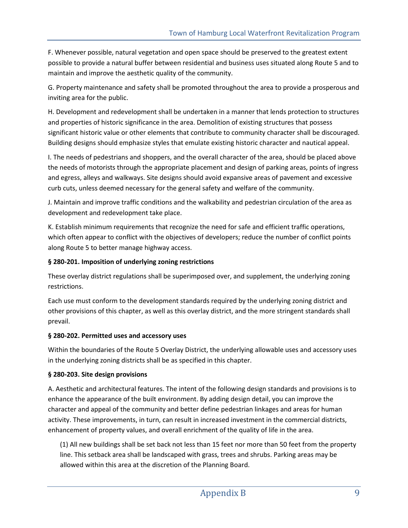F. Whenever possible, natural vegetation and open space should be preserved to the greatest extent possible to provide a natural buffer between residential and business uses situated along Route 5 and to maintain and improve the aesthetic quality of the community.

G. Property maintenance and safety shall be promoted throughout the area to provide a prosperous and inviting area for the public.

H. Development and redevelopment shall be undertaken in a manner that lends protection to structures and properties of historic significance in the area. Demolition of existing structures that possess significant historic value or other elements that contribute to community character shall be discouraged. Building designs should emphasize styles that emulate existing historic character and nautical appeal.

I. The needs of pedestrians and shoppers, and the overall character of the area, should be placed above the needs of motorists through the appropriate placement and design of parking areas, points of ingress and egress, alleys and walkways. Site designs should avoid expansive areas of pavement and excessive curb cuts, unless deemed necessary for the general safety and welfare of the community.

J. Maintain and improve traffic conditions and the walkability and pedestrian circulation of the area as development and redevelopment take place.

K. Establish minimum requirements that recognize the need for safe and efficient traffic operations, which often appear to conflict with the objectives of developers; reduce the number of conflict points along Route 5 to better manage highway access.

## **§ 280-201. Imposition of underlying zoning restrictions**

These overlay district regulations shall be superimposed over, and supplement, the underlying zoning restrictions.

Each use must conform to the development standards required by the underlying zoning district and other provisions of this chapter, as well as this overlay district, and the more stringent standards shall prevail.

## **§ 280-202. Permitted uses and accessory uses**

Within the boundaries of the Route 5 Overlay District, the underlying allowable uses and accessory uses in the underlying zoning districts shall be as specified in this chapter.

# **§ 280-203. Site design provisions**

A. Aesthetic and architectural features. The intent of the following design standards and provisions is to enhance the appearance of the built environment. By adding design detail, you can improve the character and appeal of the community and better define pedestrian linkages and areas for human activity. These improvements, in turn, can result in increased investment in the commercial districts, enhancement of property values, and overall enrichment of the quality of life in the area.

(1) All new buildings shall be set back not less than 15 feet nor more than 50 feet from the property line. This setback area shall be landscaped with grass, trees and shrubs. Parking areas may be allowed within this area at the discretion of the Planning Board.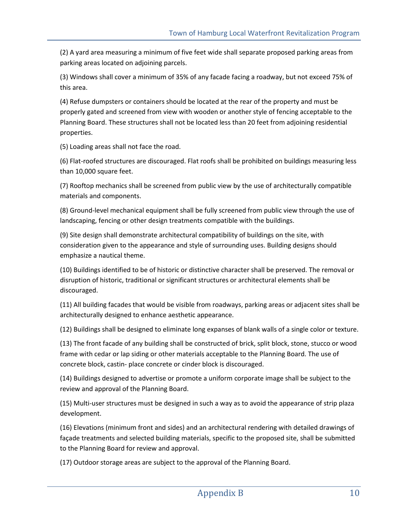(2) A yard area measuring a minimum of five feet wide shall separate proposed parking areas from parking areas located on adjoining parcels.

(3) Windows shall cover a minimum of 35% of any facade facing a roadway, but not exceed 75% of this area.

(4) Refuse dumpsters or containers should be located at the rear of the property and must be properly gated and screened from view with wooden or another style of fencing acceptable to the Planning Board. These structures shall not be located less than 20 feet from adjoining residential properties.

(5) Loading areas shall not face the road.

(6) Flat-roofed structures are discouraged. Flat roofs shall be prohibited on buildings measuring less than 10,000 square feet.

(7) Rooftop mechanics shall be screened from public view by the use of architecturally compatible materials and components.

(8) Ground-level mechanical equipment shall be fully screened from public view through the use of landscaping, fencing or other design treatments compatible with the buildings.

(9) Site design shall demonstrate architectural compatibility of buildings on the site, with consideration given to the appearance and style of surrounding uses. Building designs should emphasize a nautical theme.

(10) Buildings identified to be of historic or distinctive character shall be preserved. The removal or disruption of historic, traditional or significant structures or architectural elements shall be discouraged.

(11) All building facades that would be visible from roadways, parking areas or adjacent sites shall be architecturally designed to enhance aesthetic appearance.

(12) Buildings shall be designed to eliminate long expanses of blank walls of a single color or texture.

(13) The front facade of any building shall be constructed of brick, split block, stone, stucco or wood frame with cedar or lap siding or other materials acceptable to the Planning Board. The use of concrete block, castin- place concrete or cinder block is discouraged.

(14) Buildings designed to advertise or promote a uniform corporate image shall be subject to the review and approval of the Planning Board.

(15) Multi-user structures must be designed in such a way as to avoid the appearance of strip plaza development.

(16) Elevations (minimum front and sides) and an architectural rendering with detailed drawings of façade treatments and selected building materials, specific to the proposed site, shall be submitted to the Planning Board for review and approval.

(17) Outdoor storage areas are subject to the approval of the Planning Board.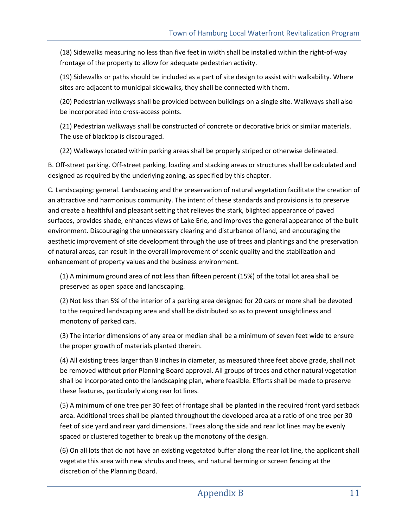(18) Sidewalks measuring no less than five feet in width shall be installed within the right-of-way frontage of the property to allow for adequate pedestrian activity.

(19) Sidewalks or paths should be included as a part of site design to assist with walkability. Where sites are adjacent to municipal sidewalks, they shall be connected with them.

(20) Pedestrian walkways shall be provided between buildings on a single site. Walkways shall also be incorporated into cross-access points.

(21) Pedestrian walkways shall be constructed of concrete or decorative brick or similar materials. The use of blacktop is discouraged.

(22) Walkways located within parking areas shall be properly striped or otherwise delineated.

B. Off-street parking. Off-street parking, loading and stacking areas or structures shall be calculated and designed as required by the underlying zoning, as specified by this chapter.

C. Landscaping; general. Landscaping and the preservation of natural vegetation facilitate the creation of an attractive and harmonious community. The intent of these standards and provisions is to preserve and create a healthful and pleasant setting that relieves the stark, blighted appearance of paved surfaces, provides shade, enhances views of Lake Erie, and improves the general appearance of the built environment. Discouraging the unnecessary clearing and disturbance of land, and encouraging the aesthetic improvement of site development through the use of trees and plantings and the preservation of natural areas, can result in the overall improvement of scenic quality and the stabilization and enhancement of property values and the business environment.

(1) A minimum ground area of not less than fifteen percent (15%) of the total lot area shall be preserved as open space and landscaping.

(2) Not less than 5% of the interior of a parking area designed for 20 cars or more shall be devoted to the required landscaping area and shall be distributed so as to prevent unsightliness and monotony of parked cars.

(3) The interior dimensions of any area or median shall be a minimum of seven feet wide to ensure the proper growth of materials planted therein.

(4) All existing trees larger than 8 inches in diameter, as measured three feet above grade, shall not be removed without prior Planning Board approval. All groups of trees and other natural vegetation shall be incorporated onto the landscaping plan, where feasible. Efforts shall be made to preserve these features, particularly along rear lot lines.

(5) A minimum of one tree per 30 feet of frontage shall be planted in the required front yard setback area. Additional trees shall be planted throughout the developed area at a ratio of one tree per 30 feet of side yard and rear yard dimensions. Trees along the side and rear lot lines may be evenly spaced or clustered together to break up the monotony of the design.

(6) On all lots that do not have an existing vegetated buffer along the rear lot line, the applicant shall vegetate this area with new shrubs and trees, and natural berming or screen fencing at the discretion of the Planning Board.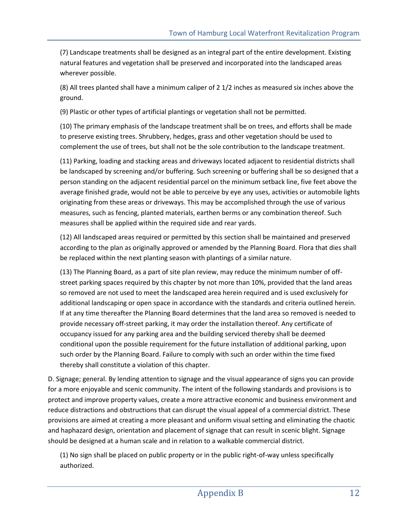(7) Landscape treatments shall be designed as an integral part of the entire development. Existing natural features and vegetation shall be preserved and incorporated into the landscaped areas wherever possible.

(8) All trees planted shall have a minimum caliper of 2 1/2 inches as measured six inches above the ground.

(9) Plastic or other types of artificial plantings or vegetation shall not be permitted.

(10) The primary emphasis of the landscape treatment shall be on trees, and efforts shall be made to preserve existing trees. Shrubbery, hedges, grass and other vegetation should be used to complement the use of trees, but shall not be the sole contribution to the landscape treatment.

(11) Parking, loading and stacking areas and driveways located adjacent to residential districts shall be landscaped by screening and/or buffering. Such screening or buffering shall be so designed that a person standing on the adjacent residential parcel on the minimum setback line, five feet above the average finished grade, would not be able to perceive by eye any uses, activities or automobile lights originating from these areas or driveways. This may be accomplished through the use of various measures, such as fencing, planted materials, earthen berms or any combination thereof. Such measures shall be applied within the required side and rear yards.

(12) All landscaped areas required or permitted by this section shall be maintained and preserved according to the plan as originally approved or amended by the Planning Board. Flora that dies shall be replaced within the next planting season with plantings of a similar nature.

(13) The Planning Board, as a part of site plan review, may reduce the minimum number of offstreet parking spaces required by this chapter by not more than 10%, provided that the land areas so removed are not used to meet the landscaped area herein required and is used exclusively for additional landscaping or open space in accordance with the standards and criteria outlined herein. If at any time thereafter the Planning Board determines that the land area so removed is needed to provide necessary off-street parking, it may order the installation thereof. Any certificate of occupancy issued for any parking area and the building serviced thereby shall be deemed conditional upon the possible requirement for the future installation of additional parking, upon such order by the Planning Board. Failure to comply with such an order within the time fixed thereby shall constitute a violation of this chapter.

D. Signage; general. By lending attention to signage and the visual appearance of signs you can provide for a more enjoyable and scenic community. The intent of the following standards and provisions is to protect and improve property values, create a more attractive economic and business environment and reduce distractions and obstructions that can disrupt the visual appeal of a commercial district. These provisions are aimed at creating a more pleasant and uniform visual setting and eliminating the chaotic and haphazard design, orientation and placement of signage that can result in scenic blight. Signage should be designed at a human scale and in relation to a walkable commercial district.

(1) No sign shall be placed on public property or in the public right-of-way unless specifically authorized.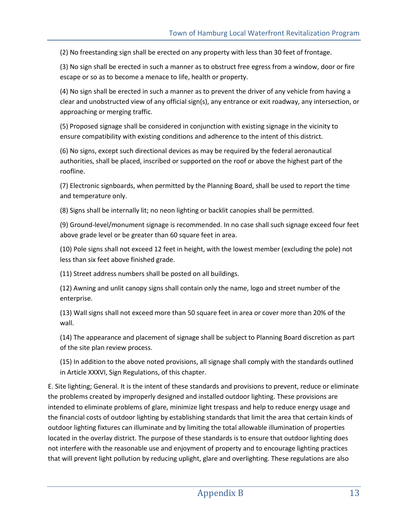(2) No freestanding sign shall be erected on any property with less than 30 feet of frontage.

(3) No sign shall be erected in such a manner as to obstruct free egress from a window, door or fire escape or so as to become a menace to life, health or property.

(4) No sign shall be erected in such a manner as to prevent the driver of any vehicle from having a clear and unobstructed view of any official sign(s), any entrance or exit roadway, any intersection, or approaching or merging traffic.

(5) Proposed signage shall be considered in conjunction with existing signage in the vicinity to ensure compatibility with existing conditions and adherence to the intent of this district.

(6) No signs, except such directional devices as may be required by the federal aeronautical authorities, shall be placed, inscribed or supported on the roof or above the highest part of the roofline.

(7) Electronic signboards, when permitted by the Planning Board, shall be used to report the time and temperature only.

(8) Signs shall be internally lit; no neon lighting or backlit canopies shall be permitted.

(9) Ground-level/monument signage is recommended. In no case shall such signage exceed four feet above grade level or be greater than 60 square feet in area.

(10) Pole signs shall not exceed 12 feet in height, with the lowest member (excluding the pole) not less than six feet above finished grade.

(11) Street address numbers shall be posted on all buildings.

(12) Awning and unlit canopy signs shall contain only the name, logo and street number of the enterprise.

(13) Wall signs shall not exceed more than 50 square feet in area or cover more than 20% of the wall.

(14) The appearance and placement of signage shall be subject to Planning Board discretion as part of the site plan review process.

(15) In addition to the above noted provisions, all signage shall comply with the standards outlined in Article XXXVI, Sign Regulations, of this chapter.

E. Site lighting; General. It is the intent of these standards and provisions to prevent, reduce or eliminate the problems created by improperly designed and installed outdoor lighting. These provisions are intended to eliminate problems of glare, minimize light trespass and help to reduce energy usage and the financial costs of outdoor lighting by establishing standards that limit the area that certain kinds of outdoor lighting fixtures can illuminate and by limiting the total allowable illumination of properties located in the overlay district. The purpose of these standards is to ensure that outdoor lighting does not interfere with the reasonable use and enjoyment of property and to encourage lighting practices that will prevent light pollution by reducing uplight, glare and overlighting. These regulations are also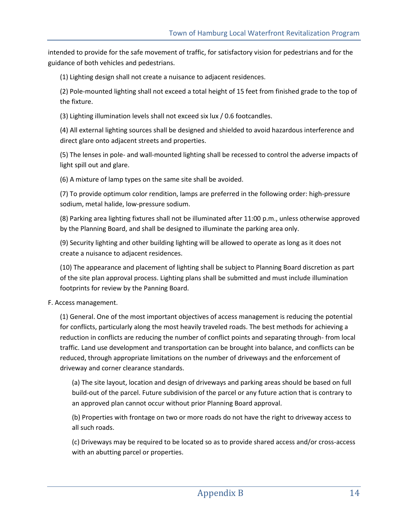intended to provide for the safe movement of traffic, for satisfactory vision for pedestrians and for the guidance of both vehicles and pedestrians.

(1) Lighting design shall not create a nuisance to adjacent residences.

(2) Pole-mounted lighting shall not exceed a total height of 15 feet from finished grade to the top of the fixture.

(3) Lighting illumination levels shall not exceed six lux / 0.6 footcandles.

(4) All external lighting sources shall be designed and shielded to avoid hazardous interference and direct glare onto adjacent streets and properties.

(5) The lenses in pole- and wall-mounted lighting shall be recessed to control the adverse impacts of light spill out and glare.

(6) A mixture of lamp types on the same site shall be avoided.

(7) To provide optimum color rendition, lamps are preferred in the following order: high-pressure sodium, metal halide, low-pressure sodium.

(8) Parking area lighting fixtures shall not be illuminated after 11:00 p.m., unless otherwise approved by the Planning Board, and shall be designed to illuminate the parking area only.

(9) Security lighting and other building lighting will be allowed to operate as long as it does not create a nuisance to adjacent residences.

(10) The appearance and placement of lighting shall be subject to Planning Board discretion as part of the site plan approval process. Lighting plans shall be submitted and must include illumination footprints for review by the Panning Board.

## F. Access management.

(1) General. One of the most important objectives of access management is reducing the potential for conflicts, particularly along the most heavily traveled roads. The best methods for achieving a reduction in conflicts are reducing the number of conflict points and separating through- from local traffic. Land use development and transportation can be brought into balance, and conflicts can be reduced, through appropriate limitations on the number of driveways and the enforcement of driveway and corner clearance standards.

(a) The site layout, location and design of driveways and parking areas should be based on full build-out of the parcel. Future subdivision of the parcel or any future action that is contrary to an approved plan cannot occur without prior Planning Board approval.

(b) Properties with frontage on two or more roads do not have the right to driveway access to all such roads.

(c) Driveways may be required to be located so as to provide shared access and/or cross-access with an abutting parcel or properties.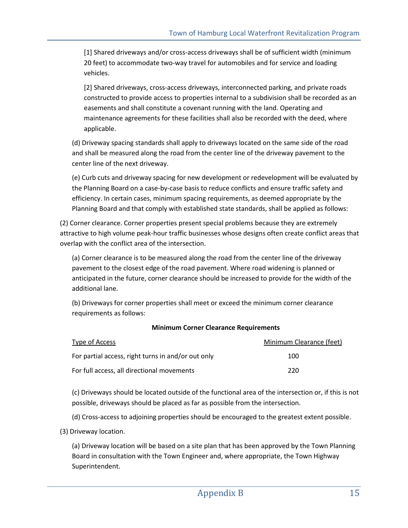[1] Shared driveways and/or cross-access driveways shall be of sufficient width (minimum 20 feet) to accommodate two-way travel for automobiles and for service and loading vehicles.

[2] Shared driveways, cross-access driveways, interconnected parking, and private roads constructed to provide access to properties internal to a subdivision shall be recorded as an easements and shall constitute a covenant running with the land. Operating and maintenance agreements for these facilities shall also be recorded with the deed, where applicable.

(d) Driveway spacing standards shall apply to driveways located on the same side of the road and shall be measured along the road from the center line of the driveway pavement to the center line of the next driveway.

(e) Curb cuts and driveway spacing for new development or redevelopment will be evaluated by the Planning Board on a case-by-case basis to reduce conflicts and ensure traffic safety and efficiency. In certain cases, minimum spacing requirements, as deemed appropriate by the Planning Board and that comply with established state standards, shall be applied as follows:

(2) Corner clearance. Corner properties present special problems because they are extremely attractive to high volume peak-hour traffic businesses whose designs often create conflict areas that overlap with the conflict area of the intersection.

(a) Corner clearance is to be measured along the road from the center line of the driveway pavement to the closest edge of the road pavement. Where road widening is planned or anticipated in the future, corner clearance should be increased to provide for the width of the additional lane.

(b) Driveways for corner properties shall meet or exceed the minimum corner clearance requirements as follows:

## **Minimum Corner Clearance Requirements**

| Type of Access                                     | Minimum Clearance (feet) |
|----------------------------------------------------|--------------------------|
| For partial access, right turns in and/or out only | 100                      |
| For full access, all directional movements         | 220                      |

(c) Driveways should be located outside of the functional area of the intersection or, if this is not possible, driveways should be placed as far as possible from the intersection.

(d) Cross-access to adjoining properties should be encouraged to the greatest extent possible.

(3) Driveway location.

(a) Driveway location will be based on a site plan that has been approved by the Town Planning Board in consultation with the Town Engineer and, where appropriate, the Town Highway Superintendent.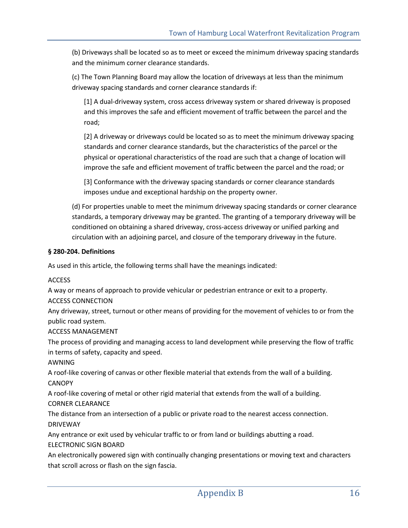(b) Driveways shall be located so as to meet or exceed the minimum driveway spacing standards and the minimum corner clearance standards.

(c) The Town Planning Board may allow the location of driveways at less than the minimum driveway spacing standards and corner clearance standards if:

[1] A dual-driveway system, cross access driveway system or shared driveway is proposed and this improves the safe and efficient movement of traffic between the parcel and the road;

[2] A driveway or driveways could be located so as to meet the minimum driveway spacing standards and corner clearance standards, but the characteristics of the parcel or the physical or operational characteristics of the road are such that a change of location will improve the safe and efficient movement of traffic between the parcel and the road; or

[3] Conformance with the driveway spacing standards or corner clearance standards imposes undue and exceptional hardship on the property owner.

(d) For properties unable to meet the minimum driveway spacing standards or corner clearance standards, a temporary driveway may be granted. The granting of a temporary driveway will be conditioned on obtaining a shared driveway, cross-access driveway or unified parking and circulation with an adjoining parcel, and closure of the temporary driveway in the future.

## **§ 280-204. Definitions**

As used in this article, the following terms shall have the meanings indicated:

#### **ACCESS**

A way or means of approach to provide vehicular or pedestrian entrance or exit to a property.

## ACCESS CONNECTION

Any driveway, street, turnout or other means of providing for the movement of vehicles to or from the public road system.

## ACCESS MANAGEMENT

The process of providing and managing access to land development while preserving the flow of traffic in terms of safety, capacity and speed.

## AWNING

A roof-like covering of canvas or other flexible material that extends from the wall of a building. **CANOPY** 

A roof-like covering of metal or other rigid material that extends from the wall of a building.

# CORNER CLEARANCE

The distance from an intersection of a public or private road to the nearest access connection. DRIVEWAY

Any entrance or exit used by vehicular traffic to or from land or buildings abutting a road.

## ELECTRONIC SIGN BOARD

An electronically powered sign with continually changing presentations or moving text and characters that scroll across or flash on the sign fascia.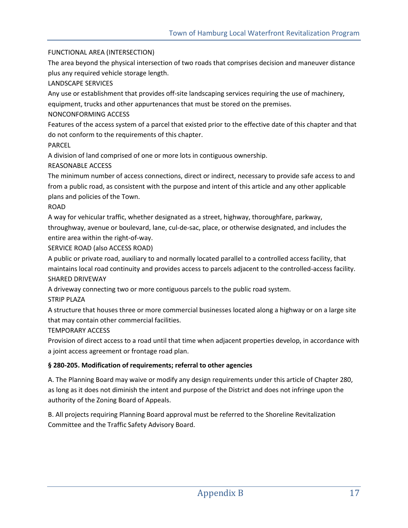## FUNCTIONAL AREA (INTERSECTION)

The area beyond the physical intersection of two roads that comprises decision and maneuver distance plus any required vehicle storage length.

LANDSCAPE SERVICES

Any use or establishment that provides off-site landscaping services requiring the use of machinery,

equipment, trucks and other appurtenances that must be stored on the premises.

# NONCONFORMING ACCESS

Features of the access system of a parcel that existed prior to the effective date of this chapter and that do not conform to the requirements of this chapter.

PARCEL

A division of land comprised of one or more lots in contiguous ownership.

# REASONABLE ACCESS

The minimum number of access connections, direct or indirect, necessary to provide safe access to and from a public road, as consistent with the purpose and intent of this article and any other applicable plans and policies of the Town.

# ROAD

A way for vehicular traffic, whether designated as a street, highway, thoroughfare, parkway, throughway, avenue or boulevard, lane, cul-de-sac, place, or otherwise designated, and includes the entire area within the right-of-way.

SERVICE ROAD (also ACCESS ROAD)

A public or private road, auxiliary to and normally located parallel to a controlled access facility, that maintains local road continuity and provides access to parcels adjacent to the controlled-access facility. SHARED DRIVEWAY

A driveway connecting two or more contiguous parcels to the public road system.

STRIP PLAZA

A structure that houses three or more commercial businesses located along a highway or on a large site that may contain other commercial facilities.

TEMPORARY ACCESS

Provision of direct access to a road until that time when adjacent properties develop, in accordance with a joint access agreement or frontage road plan.

# **§ 280-205. Modification of requirements; referral to other agencies**

A. The Planning Board may waive or modify any design requirements under this article of Chapter 280, as long as it does not diminish the intent and purpose of the District and does not infringe upon the authority of the Zoning Board of Appeals.

B. All projects requiring Planning Board approval must be referred to the Shoreline Revitalization Committee and the Traffic Safety Advisory Board.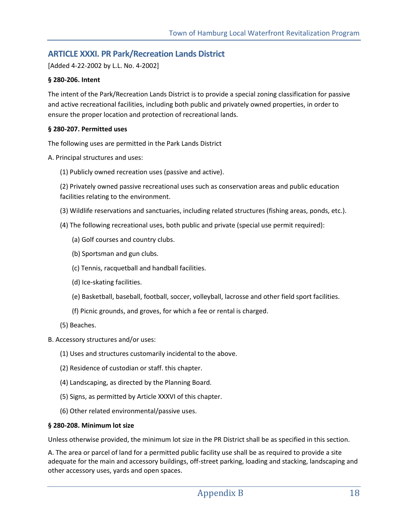# **ARTICLE XXXI. PR Park/Recreation Lands District**

[Added 4-22-2002 by L.L. No. 4-2002]

#### **§ 280-206. Intent**

The intent of the Park/Recreation Lands District is to provide a special zoning classification for passive and active recreational facilities, including both public and privately owned properties, in order to ensure the proper location and protection of recreational lands.

#### **§ 280-207. Permitted uses**

The following uses are permitted in the Park Lands District

A. Principal structures and uses:

(1) Publicly owned recreation uses (passive and active).

(2) Privately owned passive recreational uses such as conservation areas and public education facilities relating to the environment.

- (3) Wildlife reservations and sanctuaries, including related structures (fishing areas, ponds, etc.).
- (4) The following recreational uses, both public and private (special use permit required):
	- (a) Golf courses and country clubs.
	- (b) Sportsman and gun clubs.
	- (c) Tennis, racquetball and handball facilities.
	- (d) Ice-skating facilities.
	- (e) Basketball, baseball, football, soccer, volleyball, lacrosse and other field sport facilities.
	- (f) Picnic grounds, and groves, for which a fee or rental is charged.
- (5) Beaches.
- B. Accessory structures and/or uses:
	- (1) Uses and structures customarily incidental to the above.
	- (2) Residence of custodian or staff. this chapter.
	- (4) Landscaping, as directed by the Planning Board.
	- (5) Signs, as permitted by Article XXXVI of this chapter.
	- (6) Other related environmental/passive uses.

#### **§ 280-208. Minimum lot size**

Unless otherwise provided, the minimum lot size in the PR District shall be as specified in this section.

A. The area or parcel of land for a permitted public facility use shall be as required to provide a site adequate for the main and accessory buildings, off-street parking, loading and stacking, landscaping and other accessory uses, yards and open spaces.